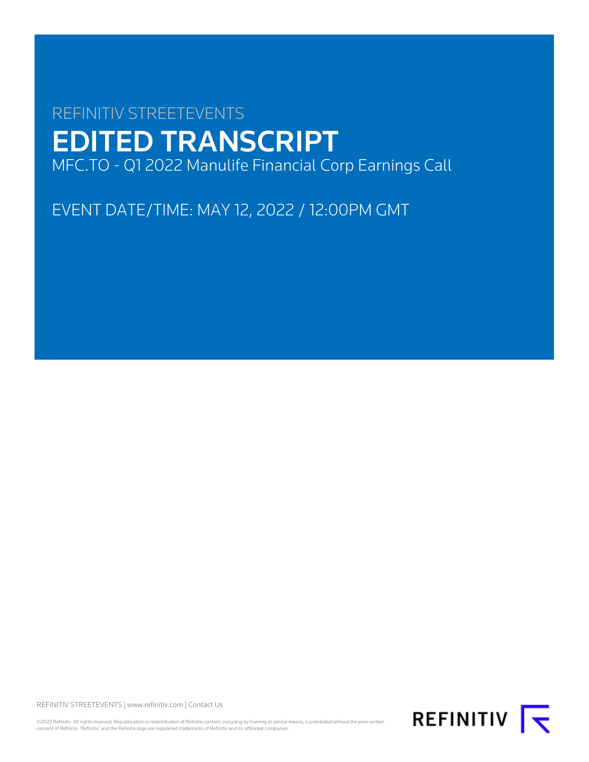# REFINITIV STREETEVENTS EDITED TRANSCRIPT MFC.TO - Q1 2022 Manulife Financial Corp Earnings Call

EVENT DATE/TIME: MAY 12, 2022 / 12:00PM GMT

REFINITIV STREETEVENTS | [www.refinitiv.com](https://www.refinitiv.com/) | [Contact Us](https://www.refinitiv.com/en/contact-us)

©2022 Refinitiv. All rights reserved. Republication or redistribution of Refinitiv content, including by framing or similar means, is prohibited without the prior written<br>consent of Refinitiv. 'Refinitiv' and the Refinitiv

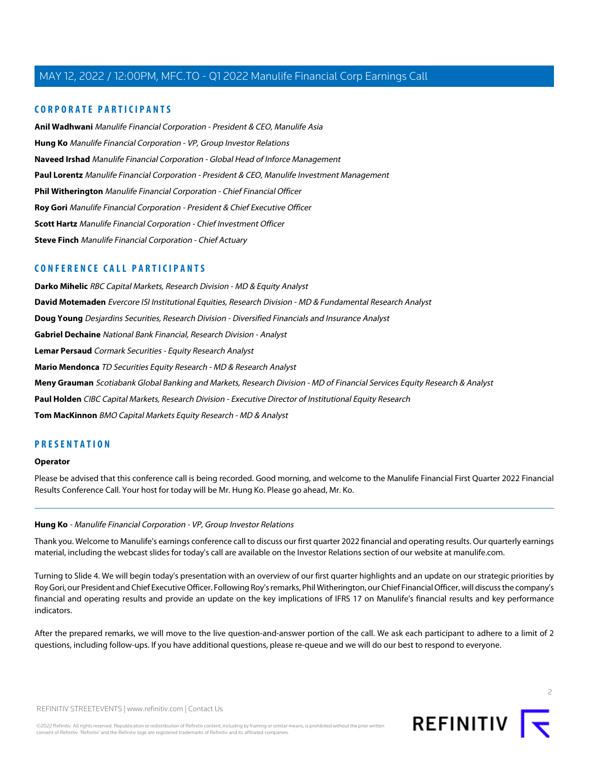# **CORPORATE PARTICIPANTS**

**[Anil Wadhwani](#page-6-0)** Manulife Financial Corporation - President & CEO, Manulife Asia **[Hung Ko](#page-1-0)** Manulife Financial Corporation - VP, Group Investor Relations **[Naveed Irshad](#page-20-0)** Manulife Financial Corporation - Global Head of Inforce Management **[Paul Lorentz](#page-12-0)** Manulife Financial Corporation - President & CEO, Manulife Investment Management **[Phil Witherington](#page-3-0)** Manulife Financial Corporation - Chief Financial Officer **[Roy Gori](#page-2-0)** Manulife Financial Corporation - President & Chief Executive Officer **[Scott Hartz](#page-15-0)** Manulife Financial Corporation - Chief Investment Officer **[Steve Finch](#page-11-0)** Manulife Financial Corporation - Chief Actuary

# **CONFERENCE CALL PARTICIPANTS**

**[Darko Mihelic](#page-16-0)** RBC Capital Markets, Research Division - MD & Equity Analyst **[David Motemaden](#page-12-1)** Evercore ISI Institutional Equities, Research Division - MD & Fundamental Research Analyst **[Doug Young](#page-8-0)** Desjardins Securities, Research Division - Diversified Financials and Insurance Analyst **[Gabriel Dechaine](#page-16-1)** National Bank Financial, Research Division - Analyst **[Lemar Persaud](#page-20-1)** Cormark Securities - Equity Research Analyst **[Mario Mendonca](#page-18-0)** TD Securities Equity Research - MD & Research Analyst **[Meny Grauman](#page-6-1)** Scotiabank Global Banking and Markets, Research Division - MD of Financial Services Equity Research & Analyst **[Paul Holden](#page-14-0)** CIBC Capital Markets, Research Division - Executive Director of Institutional Equity Research **[Tom MacKinnon](#page-9-0)** BMO Capital Markets Equity Research - MD & Analyst

# **PRESENTATION**

#### **Operator**

<span id="page-1-0"></span>Please be advised that this conference call is being recorded. Good morning, and welcome to the Manulife Financial First Quarter 2022 Financial Results Conference Call. Your host for today will be Mr. Hung Ko. Please go ahead, Mr. Ko.

# **Hung Ko** - Manulife Financial Corporation - VP, Group Investor Relations

Thank you. Welcome to Manulife's earnings conference call to discuss our first quarter 2022 financial and operating results. Our quarterly earnings material, including the webcast slides for today's call are available on the Investor Relations section of our website at manulife.com.

Turning to Slide 4. We will begin today's presentation with an overview of our first quarter highlights and an update on our strategic priorities by Roy Gori, our President and Chief Executive Officer. Following Roy's remarks, Phil Witherington, our Chief Financial Officer, will discuss the company's financial and operating results and provide an update on the key implications of IFRS 17 on Manulife's financial results and key performance indicators.

After the prepared remarks, we will move to the live question-and-answer portion of the call. We ask each participant to adhere to a limit of 2 questions, including follow-ups. If you have additional questions, please re-queue and we will do our best to respond to everyone.

 $\supset$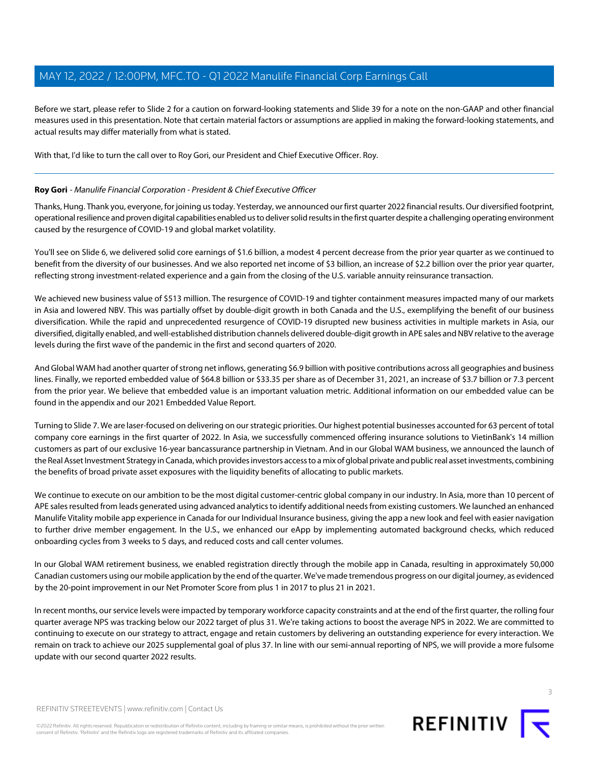Before we start, please refer to Slide 2 for a caution on forward-looking statements and Slide 39 for a note on the non-GAAP and other financial measures used in this presentation. Note that certain material factors or assumptions are applied in making the forward-looking statements, and actual results may differ materially from what is stated.

<span id="page-2-0"></span>With that, I'd like to turn the call over to Roy Gori, our President and Chief Executive Officer. Roy.

# **Roy Gori** - Manulife Financial Corporation - President & Chief Executive Officer

Thanks, Hung. Thank you, everyone, for joining us today. Yesterday, we announced our first quarter 2022 financial results. Our diversified footprint, operational resilience and proven digital capabilities enabled us to deliver solid results in the first quarter despite a challenging operating environment caused by the resurgence of COVID-19 and global market volatility.

You'll see on Slide 6, we delivered solid core earnings of \$1.6 billion, a modest 4 percent decrease from the prior year quarter as we continued to benefit from the diversity of our businesses. And we also reported net income of \$3 billion, an increase of \$2.2 billion over the prior year quarter, reflecting strong investment-related experience and a gain from the closing of the U.S. variable annuity reinsurance transaction.

We achieved new business value of \$513 million. The resurgence of COVID-19 and tighter containment measures impacted many of our markets in Asia and lowered NBV. This was partially offset by double-digit growth in both Canada and the U.S., exemplifying the benefit of our business diversification. While the rapid and unprecedented resurgence of COVID-19 disrupted new business activities in multiple markets in Asia, our diversified, digitally enabled, and well-established distribution channels delivered double-digit growth in APE sales and NBV relative to the average levels during the first wave of the pandemic in the first and second quarters of 2020.

And Global WAM had another quarter of strong net inflows, generating \$6.9 billion with positive contributions across all geographies and business lines. Finally, we reported embedded value of \$64.8 billion or \$33.35 per share as of December 31, 2021, an increase of \$3.7 billion or 7.3 percent from the prior year. We believe that embedded value is an important valuation metric. Additional information on our embedded value can be found in the appendix and our 2021 Embedded Value Report.

Turning to Slide 7. We are laser-focused on delivering on our strategic priorities. Our highest potential businesses accounted for 63 percent of total company core earnings in the first quarter of 2022. In Asia, we successfully commenced offering insurance solutions to VietinBank's 14 million customers as part of our exclusive 16-year bancassurance partnership in Vietnam. And in our Global WAM business, we announced the launch of the Real Asset Investment Strategy in Canada, which provides investors access to a mix of global private and public real asset investments, combining the benefits of broad private asset exposures with the liquidity benefits of allocating to public markets.

We continue to execute on our ambition to be the most digital customer-centric global company in our industry. In Asia, more than 10 percent of APE sales resulted from leads generated using advanced analytics to identify additional needs from existing customers. We launched an enhanced Manulife Vitality mobile app experience in Canada for our Individual Insurance business, giving the app a new look and feel with easier navigation to further drive member engagement. In the U.S., we enhanced our eApp by implementing automated background checks, which reduced onboarding cycles from 3 weeks to 5 days, and reduced costs and call center volumes.

In our Global WAM retirement business, we enabled registration directly through the mobile app in Canada, resulting in approximately 50,000 Canadian customers using our mobile application by the end of the quarter. We've made tremendous progress on our digital journey, as evidenced by the 20-point improvement in our Net Promoter Score from plus 1 in 2017 to plus 21 in 2021.

In recent months, our service levels were impacted by temporary workforce capacity constraints and at the end of the first quarter, the rolling four quarter average NPS was tracking below our 2022 target of plus 31. We're taking actions to boost the average NPS in 2022. We are committed to continuing to execute on our strategy to attract, engage and retain customers by delivering an outstanding experience for every interaction. We remain on track to achieve our 2025 supplemental goal of plus 37. In line with our semi-annual reporting of NPS, we will provide a more fulsome update with our second quarter 2022 results.

REFINITIV STREETEVENTS | [www.refinitiv.com](https://www.refinitiv.com/) | [Contact Us](https://www.refinitiv.com/en/contact-us)

©2022 Refinitiv. All rights reserved. Republication or redistribution of Refinitiv content, including by framing or similar means, is prohibited without the prior written consent of Refinitiv. 'Refinitiv' and the Refinitiv logo are registered trademarks of Refinitiv and its affiliated companies.

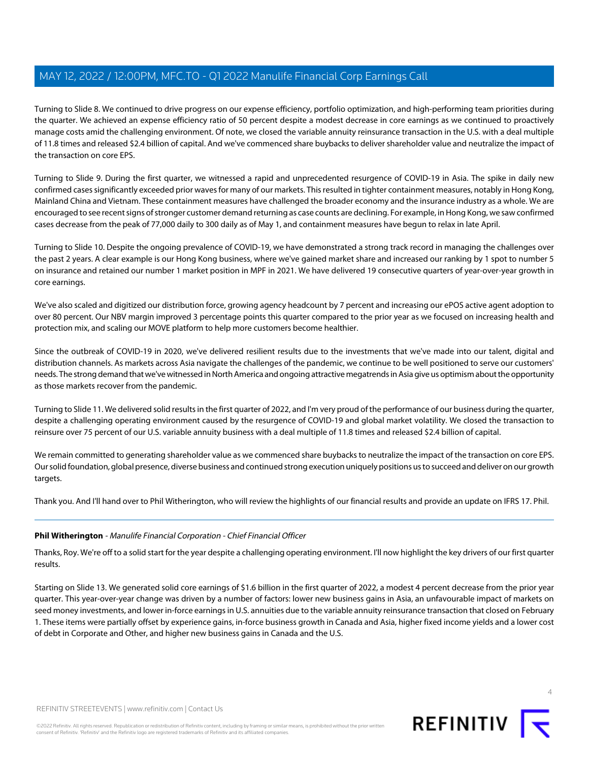Turning to Slide 8. We continued to drive progress on our expense efficiency, portfolio optimization, and high-performing team priorities during the quarter. We achieved an expense efficiency ratio of 50 percent despite a modest decrease in core earnings as we continued to proactively manage costs amid the challenging environment. Of note, we closed the variable annuity reinsurance transaction in the U.S. with a deal multiple of 11.8 times and released \$2.4 billion of capital. And we've commenced share buybacks to deliver shareholder value and neutralize the impact of the transaction on core EPS.

Turning to Slide 9. During the first quarter, we witnessed a rapid and unprecedented resurgence of COVID-19 in Asia. The spike in daily new confirmed cases significantly exceeded prior waves for many of our markets. This resulted in tighter containment measures, notably in Hong Kong, Mainland China and Vietnam. These containment measures have challenged the broader economy and the insurance industry as a whole. We are encouraged to see recent signs of stronger customer demand returning as case counts are declining. For example, in Hong Kong, we saw confirmed cases decrease from the peak of 77,000 daily to 300 daily as of May 1, and containment measures have begun to relax in late April.

Turning to Slide 10. Despite the ongoing prevalence of COVID-19, we have demonstrated a strong track record in managing the challenges over the past 2 years. A clear example is our Hong Kong business, where we've gained market share and increased our ranking by 1 spot to number 5 on insurance and retained our number 1 market position in MPF in 2021. We have delivered 19 consecutive quarters of year-over-year growth in core earnings.

We've also scaled and digitized our distribution force, growing agency headcount by 7 percent and increasing our ePOS active agent adoption to over 80 percent. Our NBV margin improved 3 percentage points this quarter compared to the prior year as we focused on increasing health and protection mix, and scaling our MOVE platform to help more customers become healthier.

Since the outbreak of COVID-19 in 2020, we've delivered resilient results due to the investments that we've made into our talent, digital and distribution channels. As markets across Asia navigate the challenges of the pandemic, we continue to be well positioned to serve our customers' needs. The strong demand that we've witnessed in North America and ongoing attractive megatrends in Asia give us optimism about the opportunity as those markets recover from the pandemic.

Turning to Slide 11. We delivered solid results in the first quarter of 2022, and I'm very proud of the performance of our business during the quarter, despite a challenging operating environment caused by the resurgence of COVID-19 and global market volatility. We closed the transaction to reinsure over 75 percent of our U.S. variable annuity business with a deal multiple of 11.8 times and released \$2.4 billion of capital.

We remain committed to generating shareholder value as we commenced share buybacks to neutralize the impact of the transaction on core EPS. Our solid foundation, global presence, diverse business and continued strong execution uniquely positions us to succeed and deliver on our growth targets.

<span id="page-3-0"></span>Thank you. And I'll hand over to Phil Witherington, who will review the highlights of our financial results and provide an update on IFRS 17. Phil.

# **Phil Witherington** - Manulife Financial Corporation - Chief Financial Officer

Thanks, Roy. We're off to a solid start for the year despite a challenging operating environment. I'll now highlight the key drivers of our first quarter results.

Starting on Slide 13. We generated solid core earnings of \$1.6 billion in the first quarter of 2022, a modest 4 percent decrease from the prior year quarter. This year-over-year change was driven by a number of factors: lower new business gains in Asia, an unfavourable impact of markets on seed money investments, and lower in-force earnings in U.S. annuities due to the variable annuity reinsurance transaction that closed on February 1. These items were partially offset by experience gains, in-force business growth in Canada and Asia, higher fixed income yields and a lower cost of debt in Corporate and Other, and higher new business gains in Canada and the U.S.

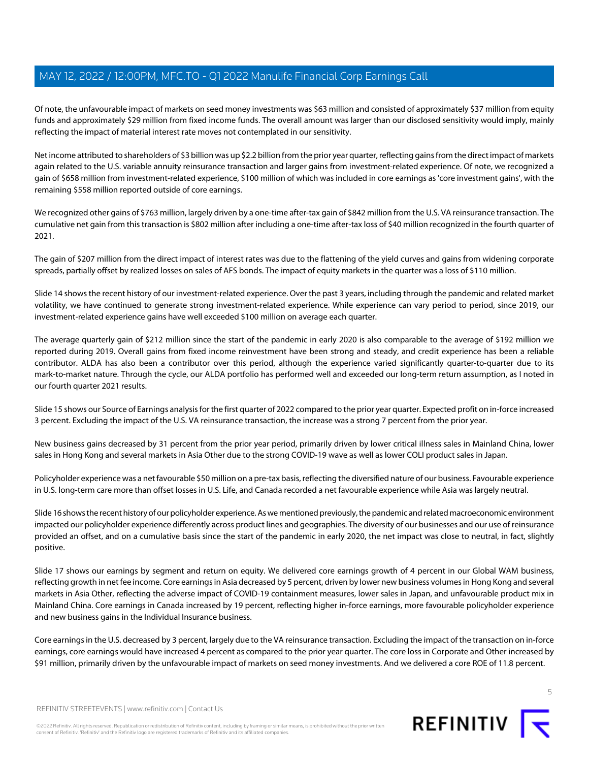Of note, the unfavourable impact of markets on seed money investments was \$63 million and consisted of approximately \$37 million from equity funds and approximately \$29 million from fixed income funds. The overall amount was larger than our disclosed sensitivity would imply, mainly reflecting the impact of material interest rate moves not contemplated in our sensitivity.

Net income attributed to shareholders of \$3 billion was up \$2.2 billion from the prior year quarter, reflecting gains from the direct impact of markets again related to the U.S. variable annuity reinsurance transaction and larger gains from investment-related experience. Of note, we recognized a gain of \$658 million from investment-related experience, \$100 million of which was included in core earnings as 'core investment gains', with the remaining \$558 million reported outside of core earnings.

We recognized other gains of \$763 million, largely driven by a one-time after-tax gain of \$842 million from the U.S. VA reinsurance transaction. The cumulative net gain from this transaction is \$802 million after including a one-time after-tax loss of \$40 million recognized in the fourth quarter of 2021.

The gain of \$207 million from the direct impact of interest rates was due to the flattening of the yield curves and gains from widening corporate spreads, partially offset by realized losses on sales of AFS bonds. The impact of equity markets in the quarter was a loss of \$110 million.

Slide 14 shows the recent history of our investment-related experience. Over the past 3 years, including through the pandemic and related market volatility, we have continued to generate strong investment-related experience. While experience can vary period to period, since 2019, our investment-related experience gains have well exceeded \$100 million on average each quarter.

The average quarterly gain of \$212 million since the start of the pandemic in early 2020 is also comparable to the average of \$192 million we reported during 2019. Overall gains from fixed income reinvestment have been strong and steady, and credit experience has been a reliable contributor. ALDA has also been a contributor over this period, although the experience varied significantly quarter-to-quarter due to its mark-to-market nature. Through the cycle, our ALDA portfolio has performed well and exceeded our long-term return assumption, as I noted in our fourth quarter 2021 results.

Slide 15 shows our Source of Earnings analysis for the first quarter of 2022 compared to the prior year quarter. Expected profit on in-force increased 3 percent. Excluding the impact of the U.S. VA reinsurance transaction, the increase was a strong 7 percent from the prior year.

New business gains decreased by 31 percent from the prior year period, primarily driven by lower critical illness sales in Mainland China, lower sales in Hong Kong and several markets in Asia Other due to the strong COVID-19 wave as well as lower COLI product sales in Japan.

Policyholder experience was a net favourable \$50 million on a pre-tax basis, reflecting the diversified nature of our business. Favourable experience in U.S. long-term care more than offset losses in U.S. Life, and Canada recorded a net favourable experience while Asia was largely neutral.

Slide 16 shows the recent history of our policyholder experience. As we mentioned previously, the pandemic and related macroeconomic environment impacted our policyholder experience differently across product lines and geographies. The diversity of our businesses and our use of reinsurance provided an offset, and on a cumulative basis since the start of the pandemic in early 2020, the net impact was close to neutral, in fact, slightly positive.

Slide 17 shows our earnings by segment and return on equity. We delivered core earnings growth of 4 percent in our Global WAM business, reflecting growth in net fee income. Core earnings in Asia decreased by 5 percent, driven by lower new business volumes in Hong Kong and several markets in Asia Other, reflecting the adverse impact of COVID-19 containment measures, lower sales in Japan, and unfavourable product mix in Mainland China. Core earnings in Canada increased by 19 percent, reflecting higher in-force earnings, more favourable policyholder experience and new business gains in the Individual Insurance business.

Core earnings in the U.S. decreased by 3 percent, largely due to the VA reinsurance transaction. Excluding the impact of the transaction on in-force earnings, core earnings would have increased 4 percent as compared to the prior year quarter. The core loss in Corporate and Other increased by \$91 million, primarily driven by the unfavourable impact of markets on seed money investments. And we delivered a core ROE of 11.8 percent.



5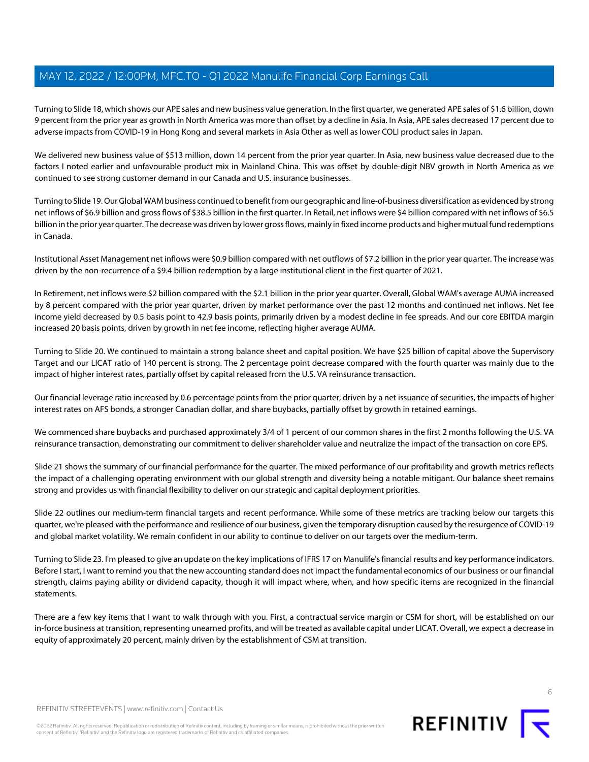Turning to Slide 18, which shows our APE sales and new business value generation. In the first quarter, we generated APE sales of \$1.6 billion, down 9 percent from the prior year as growth in North America was more than offset by a decline in Asia. In Asia, APE sales decreased 17 percent due to adverse impacts from COVID-19 in Hong Kong and several markets in Asia Other as well as lower COLI product sales in Japan.

We delivered new business value of \$513 million, down 14 percent from the prior year quarter. In Asia, new business value decreased due to the factors I noted earlier and unfavourable product mix in Mainland China. This was offset by double-digit NBV growth in North America as we continued to see strong customer demand in our Canada and U.S. insurance businesses.

Turning to Slide 19. Our Global WAM business continued to benefit from our geographic and line-of-business diversification as evidenced by strong net inflows of \$6.9 billion and gross flows of \$38.5 billion in the first quarter. In Retail, net inflows were \$4 billion compared with net inflows of \$6.5 billion in the prior year quarter. The decrease was driven by lower gross flows, mainly in fixed income products and higher mutual fund redemptions in Canada.

Institutional Asset Management net inflows were \$0.9 billion compared with net outflows of \$7.2 billion in the prior year quarter. The increase was driven by the non-recurrence of a \$9.4 billion redemption by a large institutional client in the first quarter of 2021.

In Retirement, net inflows were \$2 billion compared with the \$2.1 billion in the prior year quarter. Overall, Global WAM's average AUMA increased by 8 percent compared with the prior year quarter, driven by market performance over the past 12 months and continued net inflows. Net fee income yield decreased by 0.5 basis point to 42.9 basis points, primarily driven by a modest decline in fee spreads. And our core EBITDA margin increased 20 basis points, driven by growth in net fee income, reflecting higher average AUMA.

Turning to Slide 20. We continued to maintain a strong balance sheet and capital position. We have \$25 billion of capital above the Supervisory Target and our LICAT ratio of 140 percent is strong. The 2 percentage point decrease compared with the fourth quarter was mainly due to the impact of higher interest rates, partially offset by capital released from the U.S. VA reinsurance transaction.

Our financial leverage ratio increased by 0.6 percentage points from the prior quarter, driven by a net issuance of securities, the impacts of higher interest rates on AFS bonds, a stronger Canadian dollar, and share buybacks, partially offset by growth in retained earnings.

We commenced share buybacks and purchased approximately 3/4 of 1 percent of our common shares in the first 2 months following the U.S. VA reinsurance transaction, demonstrating our commitment to deliver shareholder value and neutralize the impact of the transaction on core EPS.

Slide 21 shows the summary of our financial performance for the quarter. The mixed performance of our profitability and growth metrics reflects the impact of a challenging operating environment with our global strength and diversity being a notable mitigant. Our balance sheet remains strong and provides us with financial flexibility to deliver on our strategic and capital deployment priorities.

Slide 22 outlines our medium-term financial targets and recent performance. While some of these metrics are tracking below our targets this quarter, we're pleased with the performance and resilience of our business, given the temporary disruption caused by the resurgence of COVID-19 and global market volatility. We remain confident in our ability to continue to deliver on our targets over the medium-term.

Turning to Slide 23. I'm pleased to give an update on the key implications of IFRS 17 on Manulife's financial results and key performance indicators. Before I start, I want to remind you that the new accounting standard does not impact the fundamental economics of our business or our financial strength, claims paying ability or dividend capacity, though it will impact where, when, and how specific items are recognized in the financial statements.

There are a few key items that I want to walk through with you. First, a contractual service margin or CSM for short, will be established on our in-force business at transition, representing unearned profits, and will be treated as available capital under LICAT. Overall, we expect a decrease in equity of approximately 20 percent, mainly driven by the establishment of CSM at transition.



©2022 Refinitiv. All rights reserved. Republication or redistribution of Refinitiv content, including by framing or similar means, is prohibited without the prior written consent of Refinitiv. 'Refinitiv' and the Refinitiv logo are registered trademarks of Refinitiv and its affiliated companies.



REFINITIV<sub>I</sub>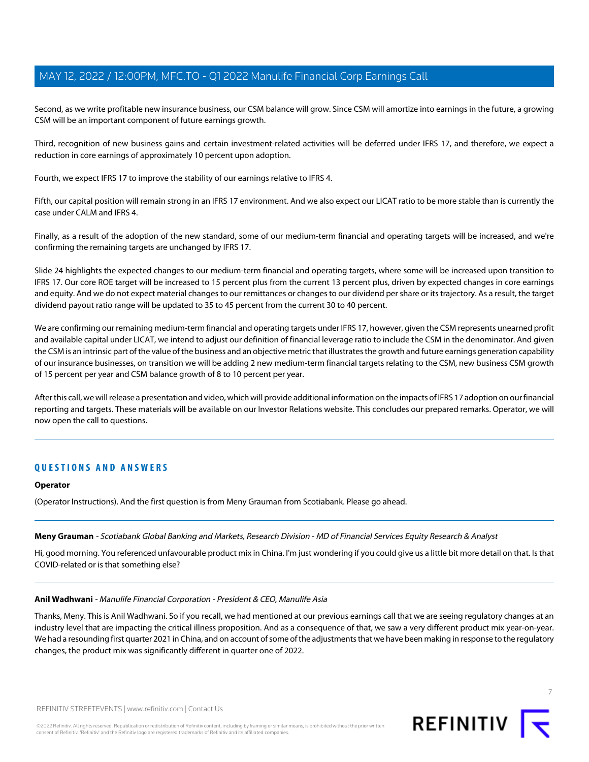Second, as we write profitable new insurance business, our CSM balance will grow. Since CSM will amortize into earnings in the future, a growing CSM will be an important component of future earnings growth.

Third, recognition of new business gains and certain investment-related activities will be deferred under IFRS 17, and therefore, we expect a reduction in core earnings of approximately 10 percent upon adoption.

Fourth, we expect IFRS 17 to improve the stability of our earnings relative to IFRS 4.

Fifth, our capital position will remain strong in an IFRS 17 environment. And we also expect our LICAT ratio to be more stable than is currently the case under CALM and IFRS 4.

Finally, as a result of the adoption of the new standard, some of our medium-term financial and operating targets will be increased, and we're confirming the remaining targets are unchanged by IFRS 17.

Slide 24 highlights the expected changes to our medium-term financial and operating targets, where some will be increased upon transition to IFRS 17. Our core ROE target will be increased to 15 percent plus from the current 13 percent plus, driven by expected changes in core earnings and equity. And we do not expect material changes to our remittances or changes to our dividend per share or its trajectory. As a result, the target dividend payout ratio range will be updated to 35 to 45 percent from the current 30 to 40 percent.

We are confirming our remaining medium-term financial and operating targets under IFRS 17, however, given the CSM represents unearned profit and available capital under LICAT, we intend to adjust our definition of financial leverage ratio to include the CSM in the denominator. And given the CSM is an intrinsic part of the value of the business and an objective metric that illustrates the growth and future earnings generation capability of our insurance businesses, on transition we will be adding 2 new medium-term financial targets relating to the CSM, new business CSM growth of 15 percent per year and CSM balance growth of 8 to 10 percent per year.

After this call, we will release a presentation and video, which will provide additional information on the impacts of IFRS 17 adoption on our financial reporting and targets. These materials will be available on our Investor Relations website. This concludes our prepared remarks. Operator, we will now open the call to questions.

# **QUESTIONS AND ANSWERS**

#### <span id="page-6-1"></span>**Operator**

(Operator Instructions). And the first question is from Meny Grauman from Scotiabank. Please go ahead.

# <span id="page-6-0"></span>**Meny Grauman** - Scotiabank Global Banking and Markets, Research Division - MD of Financial Services Equity Research & Analyst

Hi, good morning. You referenced unfavourable product mix in China. I'm just wondering if you could give us a little bit more detail on that. Is that COVID-related or is that something else?

#### **Anil Wadhwani** - Manulife Financial Corporation - President & CEO, Manulife Asia

Thanks, Meny. This is Anil Wadhwani. So if you recall, we had mentioned at our previous earnings call that we are seeing regulatory changes at an industry level that are impacting the critical illness proposition. And as a consequence of that, we saw a very different product mix year-on-year. We had a resounding first quarter 2021 in China, and on account of some of the adjustments that we have been making in response to the regulatory changes, the product mix was significantly different in quarter one of 2022.



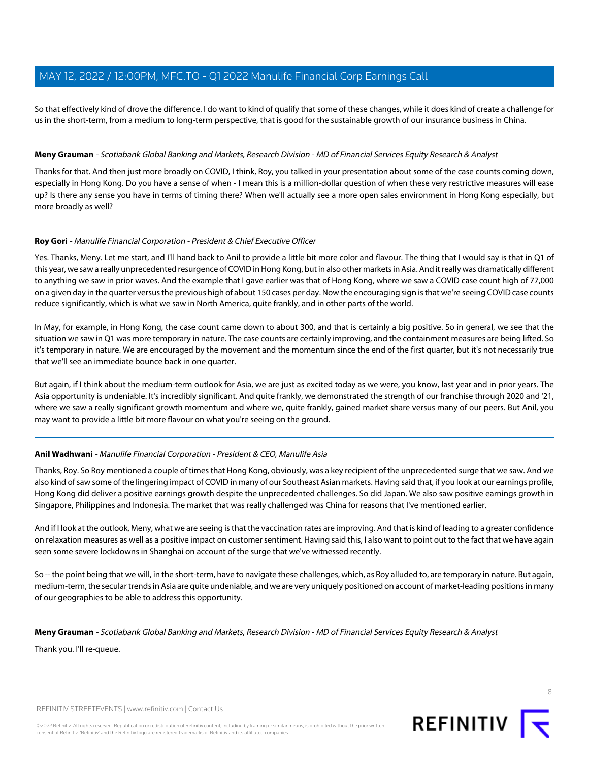So that effectively kind of drove the difference. I do want to kind of qualify that some of these changes, while it does kind of create a challenge for us in the short-term, from a medium to long-term perspective, that is good for the sustainable growth of our insurance business in China.

# **Meny Grauman** - Scotiabank Global Banking and Markets, Research Division - MD of Financial Services Equity Research & Analyst

Thanks for that. And then just more broadly on COVID, I think, Roy, you talked in your presentation about some of the case counts coming down, especially in Hong Kong. Do you have a sense of when - I mean this is a million-dollar question of when these very restrictive measures will ease up? Is there any sense you have in terms of timing there? When we'll actually see a more open sales environment in Hong Kong especially, but more broadly as well?

# **Roy Gori** - Manulife Financial Corporation - President & Chief Executive Officer

Yes. Thanks, Meny. Let me start, and I'll hand back to Anil to provide a little bit more color and flavour. The thing that I would say is that in Q1 of this year, we saw a really unprecedented resurgence of COVID in Hong Kong, but in also other markets in Asia. And it really was dramatically different to anything we saw in prior waves. And the example that I gave earlier was that of Hong Kong, where we saw a COVID case count high of 77,000 on a given day in the quarter versus the previous high of about 150 cases per day. Now the encouraging sign is that we're seeing COVID case counts reduce significantly, which is what we saw in North America, quite frankly, and in other parts of the world.

In May, for example, in Hong Kong, the case count came down to about 300, and that is certainly a big positive. So in general, we see that the situation we saw in Q1 was more temporary in nature. The case counts are certainly improving, and the containment measures are being lifted. So it's temporary in nature. We are encouraged by the movement and the momentum since the end of the first quarter, but it's not necessarily true that we'll see an immediate bounce back in one quarter.

But again, if I think about the medium-term outlook for Asia, we are just as excited today as we were, you know, last year and in prior years. The Asia opportunity is undeniable. It's incredibly significant. And quite frankly, we demonstrated the strength of our franchise through 2020 and '21, where we saw a really significant growth momentum and where we, quite frankly, gained market share versus many of our peers. But Anil, you may want to provide a little bit more flavour on what you're seeing on the ground.

# **Anil Wadhwani** - Manulife Financial Corporation - President & CEO, Manulife Asia

Thanks, Roy. So Roy mentioned a couple of times that Hong Kong, obviously, was a key recipient of the unprecedented surge that we saw. And we also kind of saw some of the lingering impact of COVID in many of our Southeast Asian markets. Having said that, if you look at our earnings profile, Hong Kong did deliver a positive earnings growth despite the unprecedented challenges. So did Japan. We also saw positive earnings growth in Singapore, Philippines and Indonesia. The market that was really challenged was China for reasons that I've mentioned earlier.

And if I look at the outlook, Meny, what we are seeing is that the vaccination rates are improving. And that is kind of leading to a greater confidence on relaxation measures as well as a positive impact on customer sentiment. Having said this, I also want to point out to the fact that we have again seen some severe lockdowns in Shanghai on account of the surge that we've witnessed recently.

So -- the point being that we will, in the short-term, have to navigate these challenges, which, as Roy alluded to, are temporary in nature. But again, medium-term, the secular trends in Asia are quite undeniable, and we are very uniquely positioned on account of market-leading positions in many of our geographies to be able to address this opportunity.

# **Meny Grauman** - Scotiabank Global Banking and Markets, Research Division - MD of Financial Services Equity Research & Analyst

Thank you. I'll re-queue.



8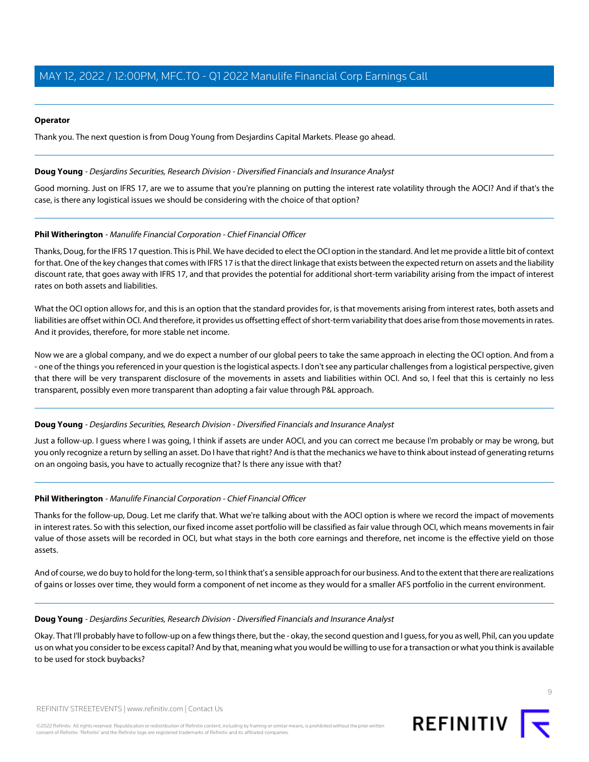# **Operator**

<span id="page-8-0"></span>Thank you. The next question is from Doug Young from Desjardins Capital Markets. Please go ahead.

### **Doug Young** - Desjardins Securities, Research Division - Diversified Financials and Insurance Analyst

Good morning. Just on IFRS 17, are we to assume that you're planning on putting the interest rate volatility through the AOCI? And if that's the case, is there any logistical issues we should be considering with the choice of that option?

# **Phil Witherington** - Manulife Financial Corporation - Chief Financial Officer

Thanks, Doug, for the IFRS 17 question. This is Phil. We have decided to elect the OCI option in the standard. And let me provide a little bit of context for that. One of the key changes that comes with IFRS 17 is that the direct linkage that exists between the expected return on assets and the liability discount rate, that goes away with IFRS 17, and that provides the potential for additional short-term variability arising from the impact of interest rates on both assets and liabilities.

What the OCI option allows for, and this is an option that the standard provides for, is that movements arising from interest rates, both assets and liabilities are offset within OCI. And therefore, it provides us offsetting effect of short-term variability that does arise from those movements in rates. And it provides, therefore, for more stable net income.

Now we are a global company, and we do expect a number of our global peers to take the same approach in electing the OCI option. And from a - one of the things you referenced in your question is the logistical aspects. I don't see any particular challenges from a logistical perspective, given that there will be very transparent disclosure of the movements in assets and liabilities within OCI. And so, I feel that this is certainly no less transparent, possibly even more transparent than adopting a fair value through P&L approach.

# **Doug Young** - Desjardins Securities, Research Division - Diversified Financials and Insurance Analyst

Just a follow-up. I guess where I was going, I think if assets are under AOCI, and you can correct me because I'm probably or may be wrong, but you only recognize a return by selling an asset. Do I have that right? And is that the mechanics we have to think about instead of generating returns on an ongoing basis, you have to actually recognize that? Is there any issue with that?

# **Phil Witherington** - Manulife Financial Corporation - Chief Financial Officer

Thanks for the follow-up, Doug. Let me clarify that. What we're talking about with the AOCI option is where we record the impact of movements in interest rates. So with this selection, our fixed income asset portfolio will be classified as fair value through OCI, which means movements in fair value of those assets will be recorded in OCI, but what stays in the both core earnings and therefore, net income is the effective yield on those assets.

And of course, we do buy to hold for the long-term, so I think that's a sensible approach for our business. And to the extent that there are realizations of gains or losses over time, they would form a component of net income as they would for a smaller AFS portfolio in the current environment.

#### **Doug Young** - Desjardins Securities, Research Division - Diversified Financials and Insurance Analyst

Okay. That I'll probably have to follow-up on a few things there, but the - okay, the second question and I guess, for you as well, Phil, can you update us on what you consider to be excess capital? And by that, meaning what you would be willing to use for a transaction or what you think is available to be used for stock buybacks?

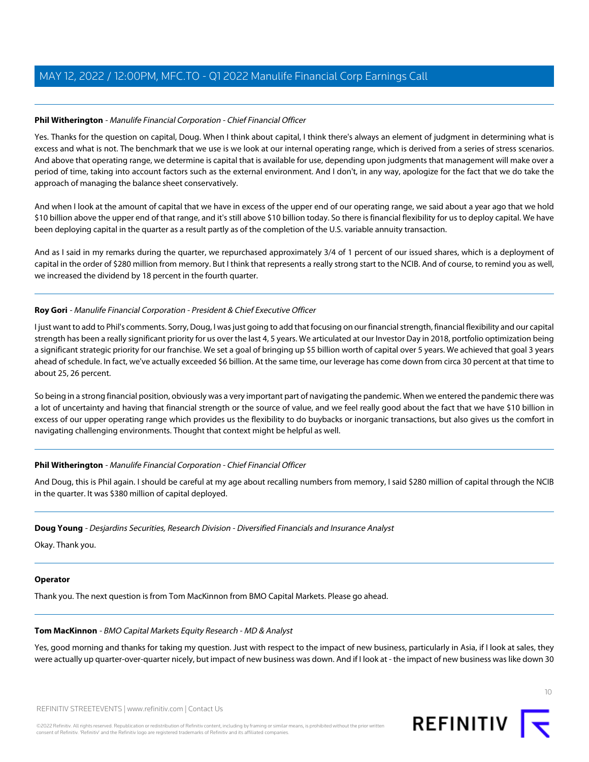# **Phil Witherington** - Manulife Financial Corporation - Chief Financial Officer

Yes. Thanks for the question on capital, Doug. When I think about capital, I think there's always an element of judgment in determining what is excess and what is not. The benchmark that we use is we look at our internal operating range, which is derived from a series of stress scenarios. And above that operating range, we determine is capital that is available for use, depending upon judgments that management will make over a period of time, taking into account factors such as the external environment. And I don't, in any way, apologize for the fact that we do take the approach of managing the balance sheet conservatively.

And when I look at the amount of capital that we have in excess of the upper end of our operating range, we said about a year ago that we hold \$10 billion above the upper end of that range, and it's still above \$10 billion today. So there is financial flexibility for us to deploy capital. We have been deploying capital in the quarter as a result partly as of the completion of the U.S. variable annuity transaction.

And as I said in my remarks during the quarter, we repurchased approximately 3/4 of 1 percent of our issued shares, which is a deployment of capital in the order of \$280 million from memory. But I think that represents a really strong start to the NCIB. And of course, to remind you as well, we increased the dividend by 18 percent in the fourth quarter.

# **Roy Gori** - Manulife Financial Corporation - President & Chief Executive Officer

I just want to add to Phil's comments. Sorry, Doug, I was just going to add that focusing on our financial strength, financial flexibility and our capital strength has been a really significant priority for us over the last 4, 5 years. We articulated at our Investor Day in 2018, portfolio optimization being a significant strategic priority for our franchise. We set a goal of bringing up \$5 billion worth of capital over 5 years. We achieved that goal 3 years ahead of schedule. In fact, we've actually exceeded \$6 billion. At the same time, our leverage has come down from circa 30 percent at that time to about 25, 26 percent.

So being in a strong financial position, obviously was a very important part of navigating the pandemic. When we entered the pandemic there was a lot of uncertainty and having that financial strength or the source of value, and we feel really good about the fact that we have \$10 billion in excess of our upper operating range which provides us the flexibility to do buybacks or inorganic transactions, but also gives us the comfort in navigating challenging environments. Thought that context might be helpful as well.

# **Phil Witherington** - Manulife Financial Corporation - Chief Financial Officer

And Doug, this is Phil again. I should be careful at my age about recalling numbers from memory, I said \$280 million of capital through the NCIB in the quarter. It was \$380 million of capital deployed.

# **Doug Young** - Desjardins Securities, Research Division - Diversified Financials and Insurance Analyst

Okay. Thank you.

# <span id="page-9-0"></span>**Operator**

Thank you. The next question is from Tom MacKinnon from BMO Capital Markets. Please go ahead.

# **Tom MacKinnon** - BMO Capital Markets Equity Research - MD & Analyst

Yes, good morning and thanks for taking my question. Just with respect to the impact of new business, particularly in Asia, if I look at sales, they were actually up quarter-over-quarter nicely, but impact of new business was down. And if I look at - the impact of new business was like down 30



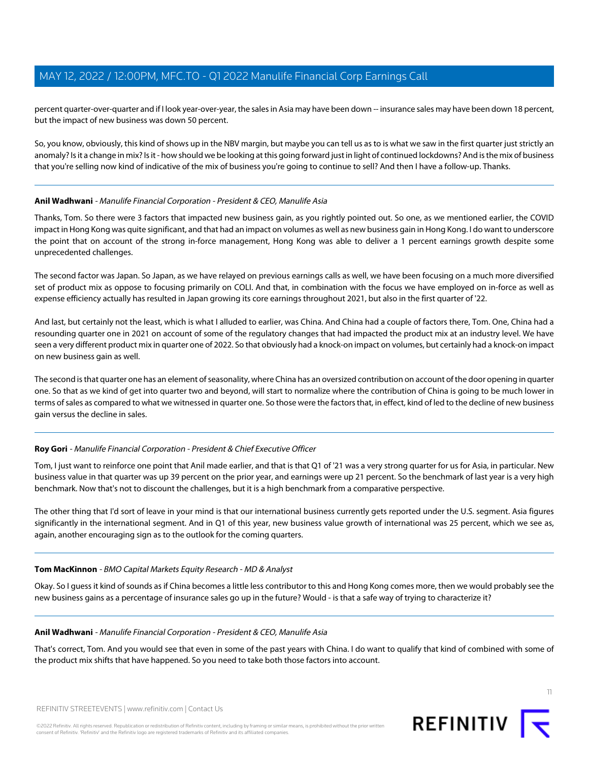percent quarter-over-quarter and if I look year-over-year, the sales in Asia may have been down -- insurance sales may have been down 18 percent, but the impact of new business was down 50 percent.

So, you know, obviously, this kind of shows up in the NBV margin, but maybe you can tell us as to is what we saw in the first quarter just strictly an anomaly? Is it a change in mix? Is it - how should we be looking at this going forward just in light of continued lockdowns? And is the mix of business that you're selling now kind of indicative of the mix of business you're going to continue to sell? And then I have a follow-up. Thanks.

# **Anil Wadhwani** - Manulife Financial Corporation - President & CEO, Manulife Asia

Thanks, Tom. So there were 3 factors that impacted new business gain, as you rightly pointed out. So one, as we mentioned earlier, the COVID impact in Hong Kong was quite significant, and that had an impact on volumes as well as new business gain in Hong Kong. I do want to underscore the point that on account of the strong in-force management, Hong Kong was able to deliver a 1 percent earnings growth despite some unprecedented challenges.

The second factor was Japan. So Japan, as we have relayed on previous earnings calls as well, we have been focusing on a much more diversified set of product mix as oppose to focusing primarily on COLI. And that, in combination with the focus we have employed on in-force as well as expense efficiency actually has resulted in Japan growing its core earnings throughout 2021, but also in the first quarter of '22.

And last, but certainly not the least, which is what I alluded to earlier, was China. And China had a couple of factors there, Tom. One, China had a resounding quarter one in 2021 on account of some of the regulatory changes that had impacted the product mix at an industry level. We have seen a very different product mix in quarter one of 2022. So that obviously had a knock-on impact on volumes, but certainly had a knock-on impact on new business gain as well.

The second is that quarter one has an element of seasonality, where China has an oversized contribution on account of the door opening in quarter one. So that as we kind of get into quarter two and beyond, will start to normalize where the contribution of China is going to be much lower in terms of sales as compared to what we witnessed in quarter one. So those were the factors that, in effect, kind of led to the decline of new business gain versus the decline in sales.

# **Roy Gori** - Manulife Financial Corporation - President & Chief Executive Officer

Tom, I just want to reinforce one point that Anil made earlier, and that is that Q1 of '21 was a very strong quarter for us for Asia, in particular. New business value in that quarter was up 39 percent on the prior year, and earnings were up 21 percent. So the benchmark of last year is a very high benchmark. Now that's not to discount the challenges, but it is a high benchmark from a comparative perspective.

The other thing that I'd sort of leave in your mind is that our international business currently gets reported under the U.S. segment. Asia figures significantly in the international segment. And in Q1 of this year, new business value growth of international was 25 percent, which we see as, again, another encouraging sign as to the outlook for the coming quarters.

# **Tom MacKinnon** - BMO Capital Markets Equity Research - MD & Analyst

Okay. So I guess it kind of sounds as if China becomes a little less contributor to this and Hong Kong comes more, then we would probably see the new business gains as a percentage of insurance sales go up in the future? Would - is that a safe way of trying to characterize it?

# **Anil Wadhwani** - Manulife Financial Corporation - President & CEO, Manulife Asia

That's correct, Tom. And you would see that even in some of the past years with China. I do want to qualify that kind of combined with some of the product mix shifts that have happened. So you need to take both those factors into account.

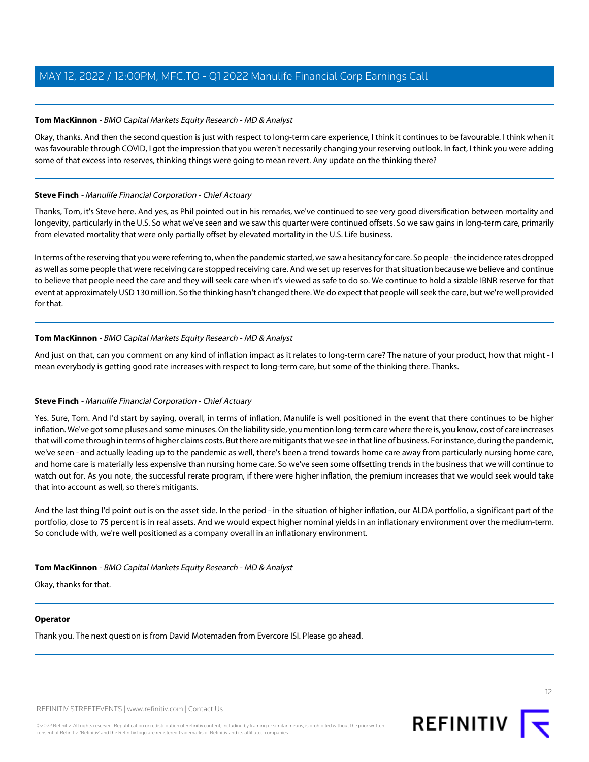# **Tom MacKinnon** - BMO Capital Markets Equity Research - MD & Analyst

Okay, thanks. And then the second question is just with respect to long-term care experience, I think it continues to be favourable. I think when it was favourable through COVID, I got the impression that you weren't necessarily changing your reserving outlook. In fact, I think you were adding some of that excess into reserves, thinking things were going to mean revert. Any update on the thinking there?

# <span id="page-11-0"></span>**Steve Finch** - Manulife Financial Corporation - Chief Actuary

Thanks, Tom, it's Steve here. And yes, as Phil pointed out in his remarks, we've continued to see very good diversification between mortality and longevity, particularly in the U.S. So what we've seen and we saw this quarter were continued offsets. So we saw gains in long-term care, primarily from elevated mortality that were only partially offset by elevated mortality in the U.S. Life business.

In terms of the reserving that you were referring to, when the pandemic started, we saw a hesitancy for care. So people - the incidence rates dropped as well as some people that were receiving care stopped receiving care. And we set up reserves for that situation because we believe and continue to believe that people need the care and they will seek care when it's viewed as safe to do so. We continue to hold a sizable IBNR reserve for that event at approximately USD 130 million. So the thinking hasn't changed there. We do expect that people will seek the care, but we're well provided for that.

# **Tom MacKinnon** - BMO Capital Markets Equity Research - MD & Analyst

And just on that, can you comment on any kind of inflation impact as it relates to long-term care? The nature of your product, how that might - I mean everybody is getting good rate increases with respect to long-term care, but some of the thinking there. Thanks.

# **Steve Finch** - Manulife Financial Corporation - Chief Actuary

Yes. Sure, Tom. And I'd start by saying, overall, in terms of inflation, Manulife is well positioned in the event that there continues to be higher inflation. We've got some pluses and some minuses. On the liability side, you mention long-term care where there is, you know, cost of care increases that will come through in terms of higher claims costs. But there are mitigants that we see in that line of business. For instance, during the pandemic, we've seen - and actually leading up to the pandemic as well, there's been a trend towards home care away from particularly nursing home care, and home care is materially less expensive than nursing home care. So we've seen some offsetting trends in the business that we will continue to watch out for. As you note, the successful rerate program, if there were higher inflation, the premium increases that we would seek would take that into account as well, so there's mitigants.

And the last thing I'd point out is on the asset side. In the period - in the situation of higher inflation, our ALDA portfolio, a significant part of the portfolio, close to 75 percent is in real assets. And we would expect higher nominal yields in an inflationary environment over the medium-term. So conclude with, we're well positioned as a company overall in an inflationary environment.

# **Tom MacKinnon** - BMO Capital Markets Equity Research - MD & Analyst

Okay, thanks for that.

# **Operator**

Thank you. The next question is from David Motemaden from Evercore ISI. Please go ahead.

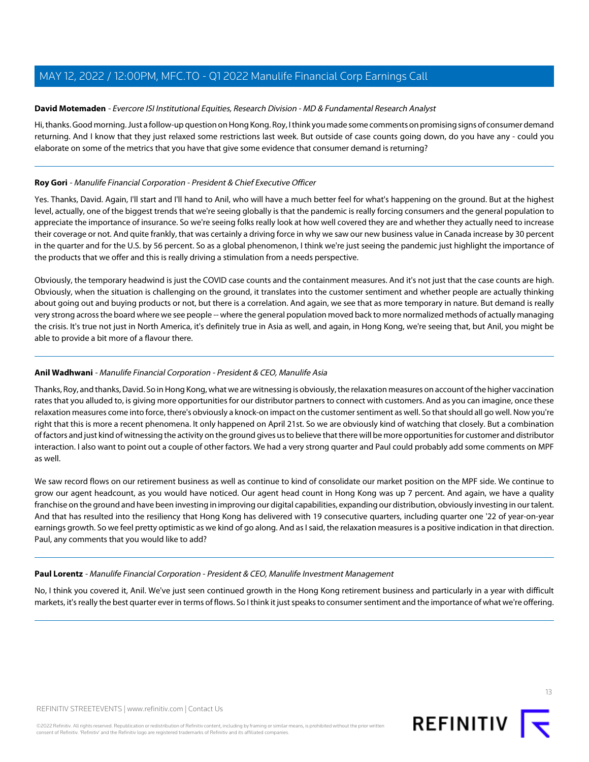# <span id="page-12-1"></span>**David Motemaden** - Evercore ISI Institutional Equities, Research Division - MD & Fundamental Research Analyst

Hi, thanks. Good morning. Just a follow-up question on Hong Kong. Roy, I think you made some comments on promising signs of consumer demand returning. And I know that they just relaxed some restrictions last week. But outside of case counts going down, do you have any - could you elaborate on some of the metrics that you have that give some evidence that consumer demand is returning?

# **Roy Gori** - Manulife Financial Corporation - President & Chief Executive Officer

Yes. Thanks, David. Again, I'll start and I'll hand to Anil, who will have a much better feel for what's happening on the ground. But at the highest level, actually, one of the biggest trends that we're seeing globally is that the pandemic is really forcing consumers and the general population to appreciate the importance of insurance. So we're seeing folks really look at how well covered they are and whether they actually need to increase their coverage or not. And quite frankly, that was certainly a driving force in why we saw our new business value in Canada increase by 30 percent in the quarter and for the U.S. by 56 percent. So as a global phenomenon, I think we're just seeing the pandemic just highlight the importance of the products that we offer and this is really driving a stimulation from a needs perspective.

Obviously, the temporary headwind is just the COVID case counts and the containment measures. And it's not just that the case counts are high. Obviously, when the situation is challenging on the ground, it translates into the customer sentiment and whether people are actually thinking about going out and buying products or not, but there is a correlation. And again, we see that as more temporary in nature. But demand is really very strong across the board where we see people -- where the general population moved back to more normalized methods of actually managing the crisis. It's true not just in North America, it's definitely true in Asia as well, and again, in Hong Kong, we're seeing that, but Anil, you might be able to provide a bit more of a flavour there.

# **Anil Wadhwani** - Manulife Financial Corporation - President & CEO, Manulife Asia

Thanks, Roy, and thanks, David. So in Hong Kong, what we are witnessing is obviously, the relaxation measures on account of the higher vaccination rates that you alluded to, is giving more opportunities for our distributor partners to connect with customers. And as you can imagine, once these relaxation measures come into force, there's obviously a knock-on impact on the customer sentiment as well. So that should all go well. Now you're right that this is more a recent phenomena. It only happened on April 21st. So we are obviously kind of watching that closely. But a combination of factors and just kind of witnessing the activity on the ground gives us to believe that there will be more opportunities for customer and distributor interaction. I also want to point out a couple of other factors. We had a very strong quarter and Paul could probably add some comments on MPF as well.

<span id="page-12-0"></span>We saw record flows on our retirement business as well as continue to kind of consolidate our market position on the MPF side. We continue to grow our agent headcount, as you would have noticed. Our agent head count in Hong Kong was up 7 percent. And again, we have a quality franchise on the ground and have been investing in improving our digital capabilities, expanding our distribution, obviously investing in our talent. And that has resulted into the resiliency that Hong Kong has delivered with 19 consecutive quarters, including quarter one '22 of year-on-year earnings growth. So we feel pretty optimistic as we kind of go along. And as I said, the relaxation measures is a positive indication in that direction. Paul, any comments that you would like to add?

# **Paul Lorentz** - Manulife Financial Corporation - President & CEO, Manulife Investment Management

No, I think you covered it, Anil. We've just seen continued growth in the Hong Kong retirement business and particularly in a year with difficult markets, it's really the best quarter ever in terms of flows. So I think it just speaks to consumer sentiment and the importance of what we're offering.



13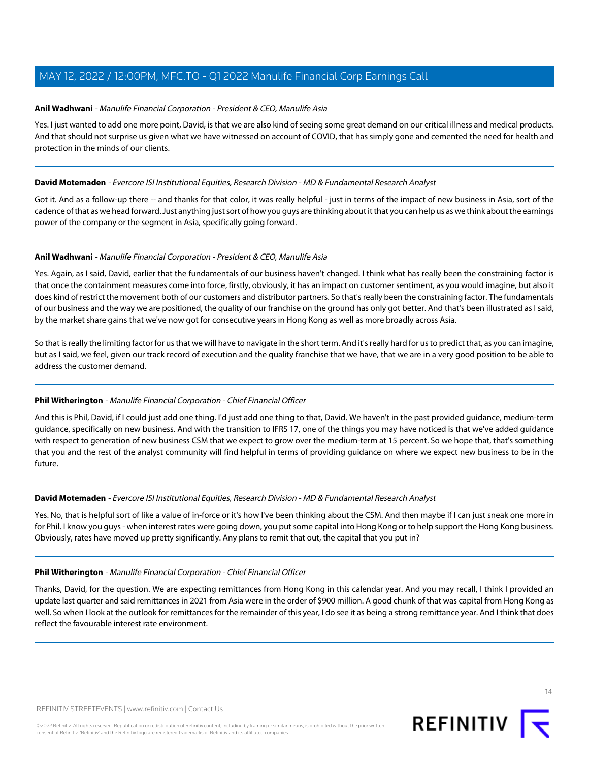# **Anil Wadhwani** - Manulife Financial Corporation - President & CEO, Manulife Asia

Yes. I just wanted to add one more point, David, is that we are also kind of seeing some great demand on our critical illness and medical products. And that should not surprise us given what we have witnessed on account of COVID, that has simply gone and cemented the need for health and protection in the minds of our clients.

# **David Motemaden** - Evercore ISI Institutional Equities, Research Division - MD & Fundamental Research Analyst

Got it. And as a follow-up there -- and thanks for that color, it was really helpful - just in terms of the impact of new business in Asia, sort of the cadence of that as we head forward. Just anything just sort of how you guys are thinking about it that you can help us as we think about the earnings power of the company or the segment in Asia, specifically going forward.

# **Anil Wadhwani** - Manulife Financial Corporation - President & CEO, Manulife Asia

Yes. Again, as I said, David, earlier that the fundamentals of our business haven't changed. I think what has really been the constraining factor is that once the containment measures come into force, firstly, obviously, it has an impact on customer sentiment, as you would imagine, but also it does kind of restrict the movement both of our customers and distributor partners. So that's really been the constraining factor. The fundamentals of our business and the way we are positioned, the quality of our franchise on the ground has only got better. And that's been illustrated as I said, by the market share gains that we've now got for consecutive years in Hong Kong as well as more broadly across Asia.

So that is really the limiting factor for us that we will have to navigate in the short term. And it's really hard for us to predict that, as you can imagine, but as I said, we feel, given our track record of execution and the quality franchise that we have, that we are in a very good position to be able to address the customer demand.

# **Phil Witherington** - Manulife Financial Corporation - Chief Financial Officer

And this is Phil, David, if I could just add one thing. I'd just add one thing to that, David. We haven't in the past provided guidance, medium-term guidance, specifically on new business. And with the transition to IFRS 17, one of the things you may have noticed is that we've added guidance with respect to generation of new business CSM that we expect to grow over the medium-term at 15 percent. So we hope that, that's something that you and the rest of the analyst community will find helpful in terms of providing guidance on where we expect new business to be in the future.

# **David Motemaden** - Evercore ISI Institutional Equities, Research Division - MD & Fundamental Research Analyst

Yes. No, that is helpful sort of like a value of in-force or it's how I've been thinking about the CSM. And then maybe if I can just sneak one more in for Phil. I know you guys - when interest rates were going down, you put some capital into Hong Kong or to help support the Hong Kong business. Obviously, rates have moved up pretty significantly. Any plans to remit that out, the capital that you put in?

# **Phil Witherington** - Manulife Financial Corporation - Chief Financial Officer

Thanks, David, for the question. We are expecting remittances from Hong Kong in this calendar year. And you may recall, I think I provided an update last quarter and said remittances in 2021 from Asia were in the order of \$900 million. A good chunk of that was capital from Hong Kong as well. So when I look at the outlook for remittances for the remainder of this year, I do see it as being a strong remittance year. And I think that does reflect the favourable interest rate environment.

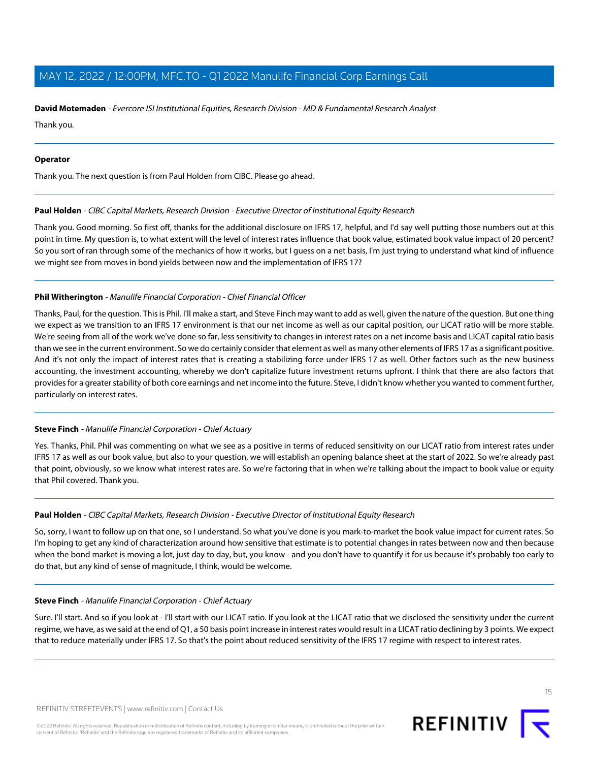#### **David Motemaden** - Evercore ISI Institutional Equities, Research Division - MD & Fundamental Research Analyst

Thank you.

#### **Operator**

<span id="page-14-0"></span>Thank you. The next question is from Paul Holden from CIBC. Please go ahead.

#### **Paul Holden** - CIBC Capital Markets, Research Division - Executive Director of Institutional Equity Research

Thank you. Good morning. So first off, thanks for the additional disclosure on IFRS 17, helpful, and I'd say well putting those numbers out at this point in time. My question is, to what extent will the level of interest rates influence that book value, estimated book value impact of 20 percent? So you sort of ran through some of the mechanics of how it works, but I guess on a net basis, I'm just trying to understand what kind of influence we might see from moves in bond yields between now and the implementation of IFRS 17?

#### **Phil Witherington** - Manulife Financial Corporation - Chief Financial Officer

Thanks, Paul, for the question. This is Phil. I'll make a start, and Steve Finch may want to add as well, given the nature of the question. But one thing we expect as we transition to an IFRS 17 environment is that our net income as well as our capital position, our LICAT ratio will be more stable. We're seeing from all of the work we've done so far, less sensitivity to changes in interest rates on a net income basis and LICAT capital ratio basis than we see in the current environment. So we do certainly consider that element as well as many other elements of IFRS 17 as a significant positive. And it's not only the impact of interest rates that is creating a stabilizing force under IFRS 17 as well. Other factors such as the new business accounting, the investment accounting, whereby we don't capitalize future investment returns upfront. I think that there are also factors that provides for a greater stability of both core earnings and net income into the future. Steve, I didn't know whether you wanted to comment further, particularly on interest rates.

#### **Steve Finch** - Manulife Financial Corporation - Chief Actuary

Yes. Thanks, Phil. Phil was commenting on what we see as a positive in terms of reduced sensitivity on our LICAT ratio from interest rates under IFRS 17 as well as our book value, but also to your question, we will establish an opening balance sheet at the start of 2022. So we're already past that point, obviously, so we know what interest rates are. So we're factoring that in when we're talking about the impact to book value or equity that Phil covered. Thank you.

#### **Paul Holden** - CIBC Capital Markets, Research Division - Executive Director of Institutional Equity Research

So, sorry, I want to follow up on that one, so I understand. So what you've done is you mark-to-market the book value impact for current rates. So I'm hoping to get any kind of characterization around how sensitive that estimate is to potential changes in rates between now and then because when the bond market is moving a lot, just day to day, but, you know - and you don't have to quantify it for us because it's probably too early to do that, but any kind of sense of magnitude, I think, would be welcome.

#### **Steve Finch** - Manulife Financial Corporation - Chief Actuary

Sure. I'll start. And so if you look at - I'll start with our LICAT ratio. If you look at the LICAT ratio that we disclosed the sensitivity under the current regime, we have, as we said at the end of Q1, a 50 basis point increase in interest rates would result in a LICAT ratio declining by 3 points. We expect that to reduce materially under IFRS 17. So that's the point about reduced sensitivity of the IFRS 17 regime with respect to interest rates.

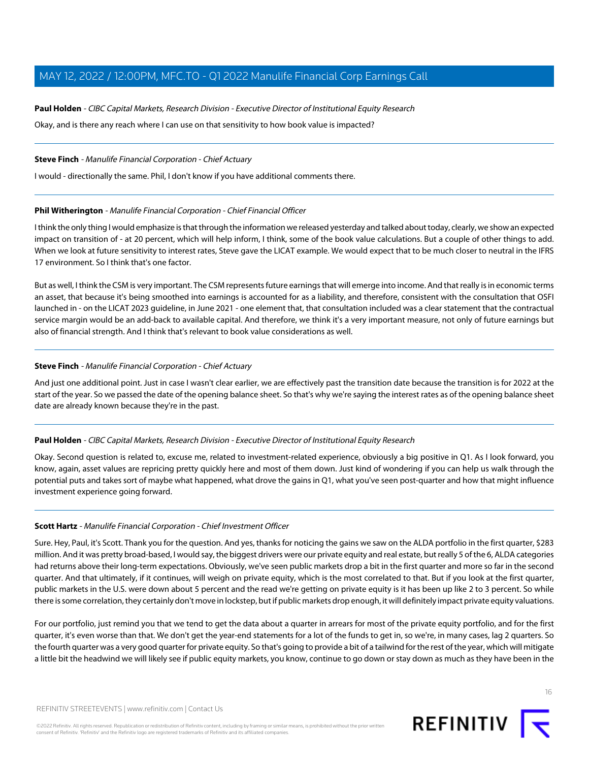# **Paul Holden** - CIBC Capital Markets, Research Division - Executive Director of Institutional Equity Research

Okay, and is there any reach where I can use on that sensitivity to how book value is impacted?

# **Steve Finch** - Manulife Financial Corporation - Chief Actuary

I would - directionally the same. Phil, I don't know if you have additional comments there.

# **Phil Witherington** - Manulife Financial Corporation - Chief Financial Officer

I think the only thing I would emphasize is that through the information we released yesterday and talked about today, clearly, we show an expected impact on transition of - at 20 percent, which will help inform, I think, some of the book value calculations. But a couple of other things to add. When we look at future sensitivity to interest rates, Steve gave the LICAT example. We would expect that to be much closer to neutral in the IFRS 17 environment. So I think that's one factor.

But as well, I think the CSM is very important. The CSM represents future earnings that will emerge into income. And that really is in economic terms an asset, that because it's being smoothed into earnings is accounted for as a liability, and therefore, consistent with the consultation that OSFI launched in - on the LICAT 2023 guideline, in June 2021 - one element that, that consultation included was a clear statement that the contractual service margin would be an add-back to available capital. And therefore, we think it's a very important measure, not only of future earnings but also of financial strength. And I think that's relevant to book value considerations as well.

# **Steve Finch** - Manulife Financial Corporation - Chief Actuary

And just one additional point. Just in case I wasn't clear earlier, we are effectively past the transition date because the transition is for 2022 at the start of the year. So we passed the date of the opening balance sheet. So that's why we're saying the interest rates as of the opening balance sheet date are already known because they're in the past.

# **Paul Holden** - CIBC Capital Markets, Research Division - Executive Director of Institutional Equity Research

<span id="page-15-0"></span>Okay. Second question is related to, excuse me, related to investment-related experience, obviously a big positive in Q1. As I look forward, you know, again, asset values are repricing pretty quickly here and most of them down. Just kind of wondering if you can help us walk through the potential puts and takes sort of maybe what happened, what drove the gains in Q1, what you've seen post-quarter and how that might influence investment experience going forward.

# **Scott Hartz** - Manulife Financial Corporation - Chief Investment Officer

Sure. Hey, Paul, it's Scott. Thank you for the question. And yes, thanks for noticing the gains we saw on the ALDA portfolio in the first quarter, \$283 million. And it was pretty broad-based, I would say, the biggest drivers were our private equity and real estate, but really 5 of the 6, ALDA categories had returns above their long-term expectations. Obviously, we've seen public markets drop a bit in the first quarter and more so far in the second quarter. And that ultimately, if it continues, will weigh on private equity, which is the most correlated to that. But if you look at the first quarter, public markets in the U.S. were down about 5 percent and the read we're getting on private equity is it has been up like 2 to 3 percent. So while there is some correlation, they certainly don't move in lockstep, but if public markets drop enough, it will definitely impact private equity valuations.

For our portfolio, just remind you that we tend to get the data about a quarter in arrears for most of the private equity portfolio, and for the first quarter, it's even worse than that. We don't get the year-end statements for a lot of the funds to get in, so we're, in many cases, lag 2 quarters. So the fourth quarter was a very good quarter for private equity. So that's going to provide a bit of a tailwind for the rest of the year, which will mitigate a little bit the headwind we will likely see if public equity markets, you know, continue to go down or stay down as much as they have been in the

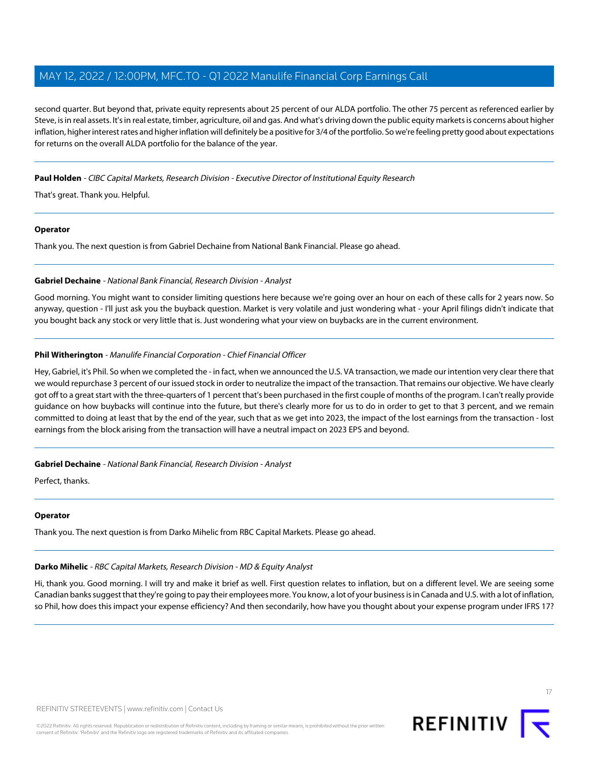second quarter. But beyond that, private equity represents about 25 percent of our ALDA portfolio. The other 75 percent as referenced earlier by Steve, is in real assets. It's in real estate, timber, agriculture, oil and gas. And what's driving down the public equity markets is concerns about higher inflation, higher interest rates and higher inflation will definitely be a positive for 3/4 of the portfolio. So we're feeling pretty good about expectations for returns on the overall ALDA portfolio for the balance of the year.

# **Paul Holden** - CIBC Capital Markets, Research Division - Executive Director of Institutional Equity Research

That's great. Thank you. Helpful.

#### **Operator**

<span id="page-16-1"></span>Thank you. The next question is from Gabriel Dechaine from National Bank Financial. Please go ahead.

#### **Gabriel Dechaine** - National Bank Financial, Research Division - Analyst

Good morning. You might want to consider limiting questions here because we're going over an hour on each of these calls for 2 years now. So anyway, question - I'll just ask you the buyback question. Market is very volatile and just wondering what - your April filings didn't indicate that you bought back any stock or very little that is. Just wondering what your view on buybacks are in the current environment.

# **Phil Witherington** - Manulife Financial Corporation - Chief Financial Officer

Hey, Gabriel, it's Phil. So when we completed the - in fact, when we announced the U.S. VA transaction, we made our intention very clear there that we would repurchase 3 percent of our issued stock in order to neutralize the impact of the transaction. That remains our objective. We have clearly got off to a great start with the three-quarters of 1 percent that's been purchased in the first couple of months of the program. I can't really provide guidance on how buybacks will continue into the future, but there's clearly more for us to do in order to get to that 3 percent, and we remain committed to doing at least that by the end of the year, such that as we get into 2023, the impact of the lost earnings from the transaction - lost earnings from the block arising from the transaction will have a neutral impact on 2023 EPS and beyond.

#### **Gabriel Dechaine** - National Bank Financial, Research Division - Analyst

Perfect, thanks.

#### <span id="page-16-0"></span>**Operator**

Thank you. The next question is from Darko Mihelic from RBC Capital Markets. Please go ahead.

# **Darko Mihelic** - RBC Capital Markets, Research Division - MD & Equity Analyst

Hi, thank you. Good morning. I will try and make it brief as well. First question relates to inflation, but on a different level. We are seeing some Canadian banks suggest that they're going to pay their employees more. You know, a lot of your business is in Canada and U.S. with a lot of inflation, so Phil, how does this impact your expense efficiency? And then secondarily, how have you thought about your expense program under IFRS 17?

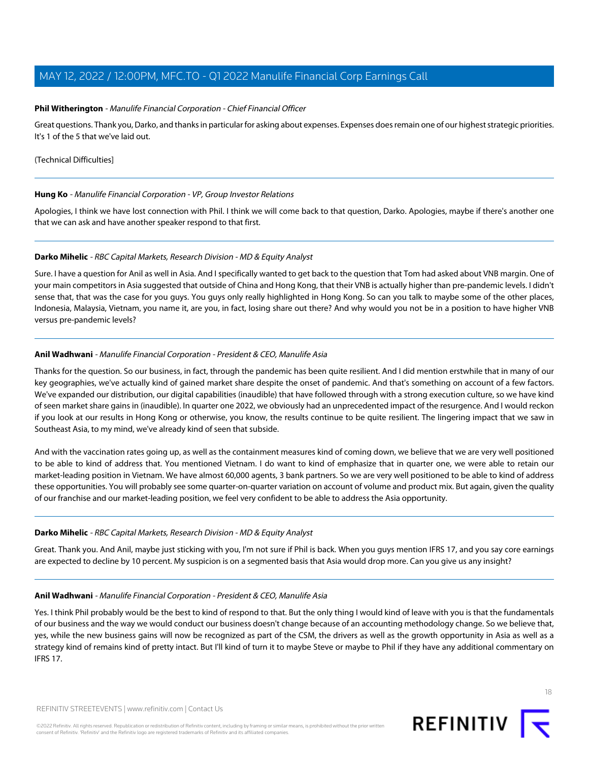# **Phil Witherington** - Manulife Financial Corporation - Chief Financial Officer

Great questions. Thank you, Darko, and thanks in particular for asking about expenses. Expenses does remain one of our highest strategic priorities. It's 1 of the 5 that we've laid out.

#### (Technical Difficulties]

#### **Hung Ko** - Manulife Financial Corporation - VP, Group Investor Relations

Apologies, I think we have lost connection with Phil. I think we will come back to that question, Darko. Apologies, maybe if there's another one that we can ask and have another speaker respond to that first.

#### **Darko Mihelic** - RBC Capital Markets, Research Division - MD & Equity Analyst

Sure. I have a question for Anil as well in Asia. And I specifically wanted to get back to the question that Tom had asked about VNB margin. One of your main competitors in Asia suggested that outside of China and Hong Kong, that their VNB is actually higher than pre-pandemic levels. I didn't sense that, that was the case for you guys. You guys only really highlighted in Hong Kong. So can you talk to maybe some of the other places, Indonesia, Malaysia, Vietnam, you name it, are you, in fact, losing share out there? And why would you not be in a position to have higher VNB versus pre-pandemic levels?

#### **Anil Wadhwani** - Manulife Financial Corporation - President & CEO, Manulife Asia

Thanks for the question. So our business, in fact, through the pandemic has been quite resilient. And I did mention erstwhile that in many of our key geographies, we've actually kind of gained market share despite the onset of pandemic. And that's something on account of a few factors. We've expanded our distribution, our digital capabilities (inaudible) that have followed through with a strong execution culture, so we have kind of seen market share gains in (inaudible). In quarter one 2022, we obviously had an unprecedented impact of the resurgence. And I would reckon if you look at our results in Hong Kong or otherwise, you know, the results continue to be quite resilient. The lingering impact that we saw in Southeast Asia, to my mind, we've already kind of seen that subside.

And with the vaccination rates going up, as well as the containment measures kind of coming down, we believe that we are very well positioned to be able to kind of address that. You mentioned Vietnam. I do want to kind of emphasize that in quarter one, we were able to retain our market-leading position in Vietnam. We have almost 60,000 agents, 3 bank partners. So we are very well positioned to be able to kind of address these opportunities. You will probably see some quarter-on-quarter variation on account of volume and product mix. But again, given the quality of our franchise and our market-leading position, we feel very confident to be able to address the Asia opportunity.

#### **Darko Mihelic** - RBC Capital Markets, Research Division - MD & Equity Analyst

Great. Thank you. And Anil, maybe just sticking with you, I'm not sure if Phil is back. When you guys mention IFRS 17, and you say core earnings are expected to decline by 10 percent. My suspicion is on a segmented basis that Asia would drop more. Can you give us any insight?

### **Anil Wadhwani** - Manulife Financial Corporation - President & CEO, Manulife Asia

Yes. I think Phil probably would be the best to kind of respond to that. But the only thing I would kind of leave with you is that the fundamentals of our business and the way we would conduct our business doesn't change because of an accounting methodology change. So we believe that, yes, while the new business gains will now be recognized as part of the CSM, the drivers as well as the growth opportunity in Asia as well as a strategy kind of remains kind of pretty intact. But I'll kind of turn it to maybe Steve or maybe to Phil if they have any additional commentary on IFRS 17.

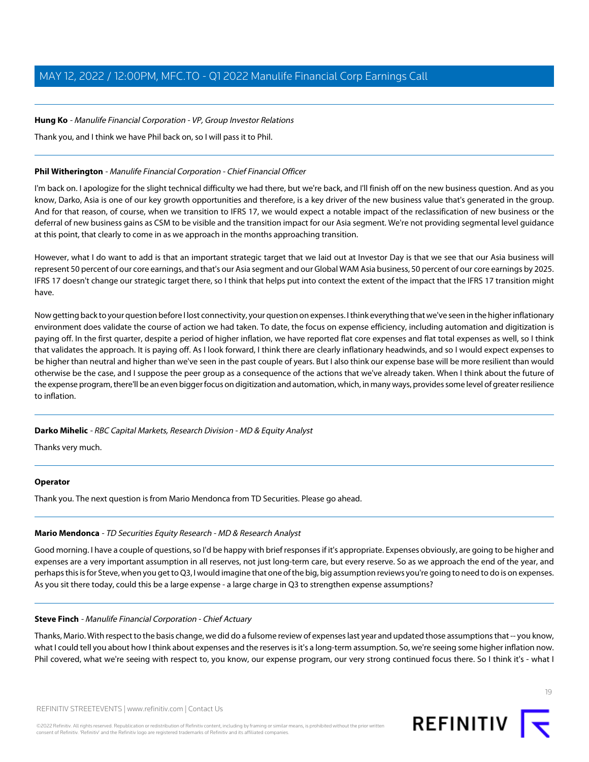# **Hung Ko** - Manulife Financial Corporation - VP, Group Investor Relations

Thank you, and I think we have Phil back on, so I will pass it to Phil.

# **Phil Witherington** - Manulife Financial Corporation - Chief Financial Officer

I'm back on. I apologize for the slight technical difficulty we had there, but we're back, and I'll finish off on the new business question. And as you know, Darko, Asia is one of our key growth opportunities and therefore, is a key driver of the new business value that's generated in the group. And for that reason, of course, when we transition to IFRS 17, we would expect a notable impact of the reclassification of new business or the deferral of new business gains as CSM to be visible and the transition impact for our Asia segment. We're not providing segmental level guidance at this point, that clearly to come in as we approach in the months approaching transition.

However, what I do want to add is that an important strategic target that we laid out at Investor Day is that we see that our Asia business will represent 50 percent of our core earnings, and that's our Asia segment and our Global WAM Asia business, 50 percent of our core earnings by 2025. IFRS 17 doesn't change our strategic target there, so I think that helps put into context the extent of the impact that the IFRS 17 transition might have.

Now getting back to your question before I lost connectivity, your question on expenses. I think everything that we've seen in the higher inflationary environment does validate the course of action we had taken. To date, the focus on expense efficiency, including automation and digitization is paying off. In the first quarter, despite a period of higher inflation, we have reported flat core expenses and flat total expenses as well, so I think that validates the approach. It is paying off. As I look forward, I think there are clearly inflationary headwinds, and so I would expect expenses to be higher than neutral and higher than we've seen in the past couple of years. But I also think our expense base will be more resilient than would otherwise be the case, and I suppose the peer group as a consequence of the actions that we've already taken. When I think about the future of the expense program, there'll be an even bigger focus on digitization and automation, which, in many ways, provides some level of greater resilience to inflation.

# **Darko Mihelic** - RBC Capital Markets, Research Division - MD & Equity Analyst

Thanks very much.

# <span id="page-18-0"></span>**Operator**

Thank you. The next question is from Mario Mendonca from TD Securities. Please go ahead.

# **Mario Mendonca** - TD Securities Equity Research - MD & Research Analyst

Good morning. I have a couple of questions, so I'd be happy with brief responses if it's appropriate. Expenses obviously, are going to be higher and expenses are a very important assumption in all reserves, not just long-term care, but every reserve. So as we approach the end of the year, and perhaps this is for Steve, when you get to Q3, I would imagine that one of the big, big assumption reviews you're going to need to do is on expenses. As you sit there today, could this be a large expense - a large charge in Q3 to strengthen expense assumptions?

# **Steve Finch** - Manulife Financial Corporation - Chief Actuary

Thanks, Mario. With respect to the basis change, we did do a fulsome review of expenses last year and updated those assumptions that -- you know, what I could tell you about how I think about expenses and the reserves is it's a long-term assumption. So, we're seeing some higher inflation now. Phil covered, what we're seeing with respect to, you know, our expense program, our very strong continued focus there. So I think it's - what I

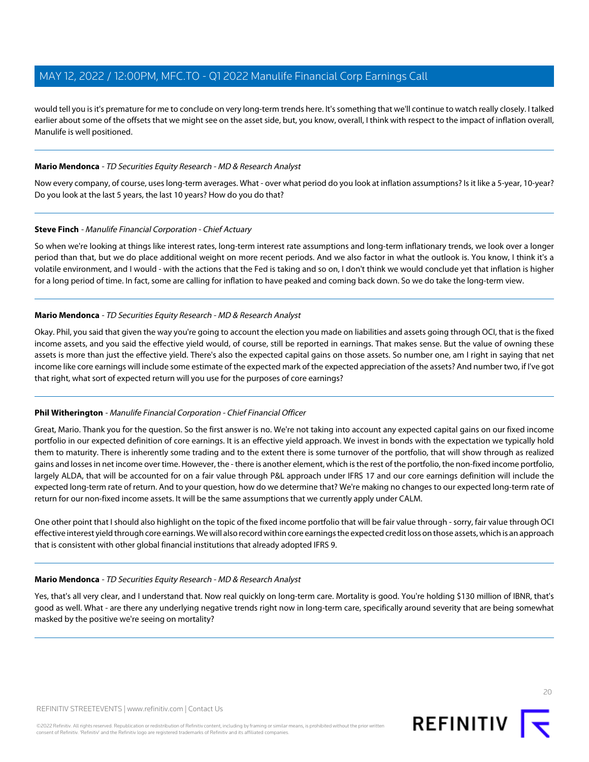would tell you is it's premature for me to conclude on very long-term trends here. It's something that we'll continue to watch really closely. I talked earlier about some of the offsets that we might see on the asset side, but, you know, overall, I think with respect to the impact of inflation overall, Manulife is well positioned.

### **Mario Mendonca** - TD Securities Equity Research - MD & Research Analyst

Now every company, of course, uses long-term averages. What - over what period do you look at inflation assumptions? Is it like a 5-year, 10-year? Do you look at the last 5 years, the last 10 years? How do you do that?

#### **Steve Finch** - Manulife Financial Corporation - Chief Actuary

So when we're looking at things like interest rates, long-term interest rate assumptions and long-term inflationary trends, we look over a longer period than that, but we do place additional weight on more recent periods. And we also factor in what the outlook is. You know, I think it's a volatile environment, and I would - with the actions that the Fed is taking and so on, I don't think we would conclude yet that inflation is higher for a long period of time. In fact, some are calling for inflation to have peaked and coming back down. So we do take the long-term view.

#### **Mario Mendonca** - TD Securities Equity Research - MD & Research Analyst

Okay. Phil, you said that given the way you're going to account the election you made on liabilities and assets going through OCI, that is the fixed income assets, and you said the effective yield would, of course, still be reported in earnings. That makes sense. But the value of owning these assets is more than just the effective yield. There's also the expected capital gains on those assets. So number one, am I right in saying that net income like core earnings will include some estimate of the expected mark of the expected appreciation of the assets? And number two, if I've got that right, what sort of expected return will you use for the purposes of core earnings?

# **Phil Witherington** - Manulife Financial Corporation - Chief Financial Officer

Great, Mario. Thank you for the question. So the first answer is no. We're not taking into account any expected capital gains on our fixed income portfolio in our expected definition of core earnings. It is an effective yield approach. We invest in bonds with the expectation we typically hold them to maturity. There is inherently some trading and to the extent there is some turnover of the portfolio, that will show through as realized gains and losses in net income over time. However, the - there is another element, which is the rest of the portfolio, the non-fixed income portfolio, largely ALDA, that will be accounted for on a fair value through P&L approach under IFRS 17 and our core earnings definition will include the expected long-term rate of return. And to your question, how do we determine that? We're making no changes to our expected long-term rate of return for our non-fixed income assets. It will be the same assumptions that we currently apply under CALM.

One other point that I should also highlight on the topic of the fixed income portfolio that will be fair value through - sorry, fair value through OCI effective interest yield through core earnings. We will also record within core earnings the expected credit loss on those assets, which is an approach that is consistent with other global financial institutions that already adopted IFRS 9.

#### **Mario Mendonca** - TD Securities Equity Research - MD & Research Analyst

Yes, that's all very clear, and I understand that. Now real quickly on long-term care. Mortality is good. You're holding \$130 million of IBNR, that's good as well. What - are there any underlying negative trends right now in long-term care, specifically around severity that are being somewhat masked by the positive we're seeing on mortality?

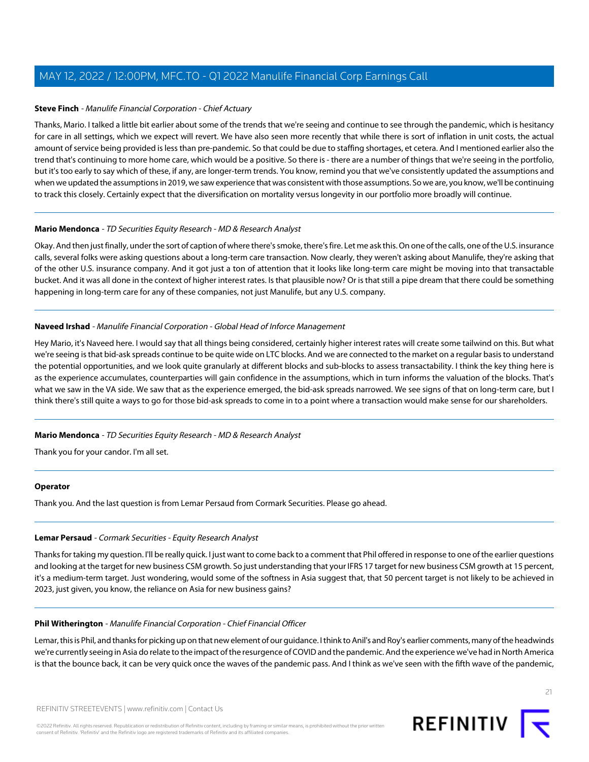### **Steve Finch** - Manulife Financial Corporation - Chief Actuary

Thanks, Mario. I talked a little bit earlier about some of the trends that we're seeing and continue to see through the pandemic, which is hesitancy for care in all settings, which we expect will revert. We have also seen more recently that while there is sort of inflation in unit costs, the actual amount of service being provided is less than pre-pandemic. So that could be due to staffing shortages, et cetera. And I mentioned earlier also the trend that's continuing to more home care, which would be a positive. So there is - there are a number of things that we're seeing in the portfolio, but it's too early to say which of these, if any, are longer-term trends. You know, remind you that we've consistently updated the assumptions and when we updated the assumptions in 2019, we saw experience that was consistent with those assumptions. So we are, you know, we'll be continuing to track this closely. Certainly expect that the diversification on mortality versus longevity in our portfolio more broadly will continue.

#### **Mario Mendonca** - TD Securities Equity Research - MD & Research Analyst

Okay. And then just finally, under the sort of caption of where there's smoke, there's fire. Let me ask this. On one of the calls, one of the U.S. insurance calls, several folks were asking questions about a long-term care transaction. Now clearly, they weren't asking about Manulife, they're asking that of the other U.S. insurance company. And it got just a ton of attention that it looks like long-term care might be moving into that transactable bucket. And it was all done in the context of higher interest rates. Is that plausible now? Or is that still a pipe dream that there could be something happening in long-term care for any of these companies, not just Manulife, but any U.S. company.

#### <span id="page-20-0"></span>**Naveed Irshad** - Manulife Financial Corporation - Global Head of Inforce Management

Hey Mario, it's Naveed here. I would say that all things being considered, certainly higher interest rates will create some tailwind on this. But what we're seeing is that bid-ask spreads continue to be quite wide on LTC blocks. And we are connected to the market on a regular basis to understand the potential opportunities, and we look quite granularly at different blocks and sub-blocks to assess transactability. I think the key thing here is as the experience accumulates, counterparties will gain confidence in the assumptions, which in turn informs the valuation of the blocks. That's what we saw in the VA side. We saw that as the experience emerged, the bid-ask spreads narrowed. We see signs of that on long-term care, but I think there's still quite a ways to go for those bid-ask spreads to come in to a point where a transaction would make sense for our shareholders.

# **Mario Mendonca** - TD Securities Equity Research - MD & Research Analyst

Thank you for your candor. I'm all set.

#### <span id="page-20-1"></span>**Operator**

Thank you. And the last question is from Lemar Persaud from Cormark Securities. Please go ahead.

#### **Lemar Persaud** - Cormark Securities - Equity Research Analyst

Thanks for taking my question. I'll be really quick. I just want to come back to a comment that Phil offered in response to one of the earlier questions and looking at the target for new business CSM growth. So just understanding that your IFRS 17 target for new business CSM growth at 15 percent, it's a medium-term target. Just wondering, would some of the softness in Asia suggest that, that 50 percent target is not likely to be achieved in 2023, just given, you know, the reliance on Asia for new business gains?

#### **Phil Witherington** - Manulife Financial Corporation - Chief Financial Officer

Lemar, this is Phil, and thanks for picking up on that new element of our guidance. I think to Anil's and Roy's earlier comments, many of the headwinds we're currently seeing in Asia do relate to the impact of the resurgence of COVID and the pandemic. And the experience we've had in North America is that the bounce back, it can be very quick once the waves of the pandemic pass. And I think as we've seen with the fifth wave of the pandemic,